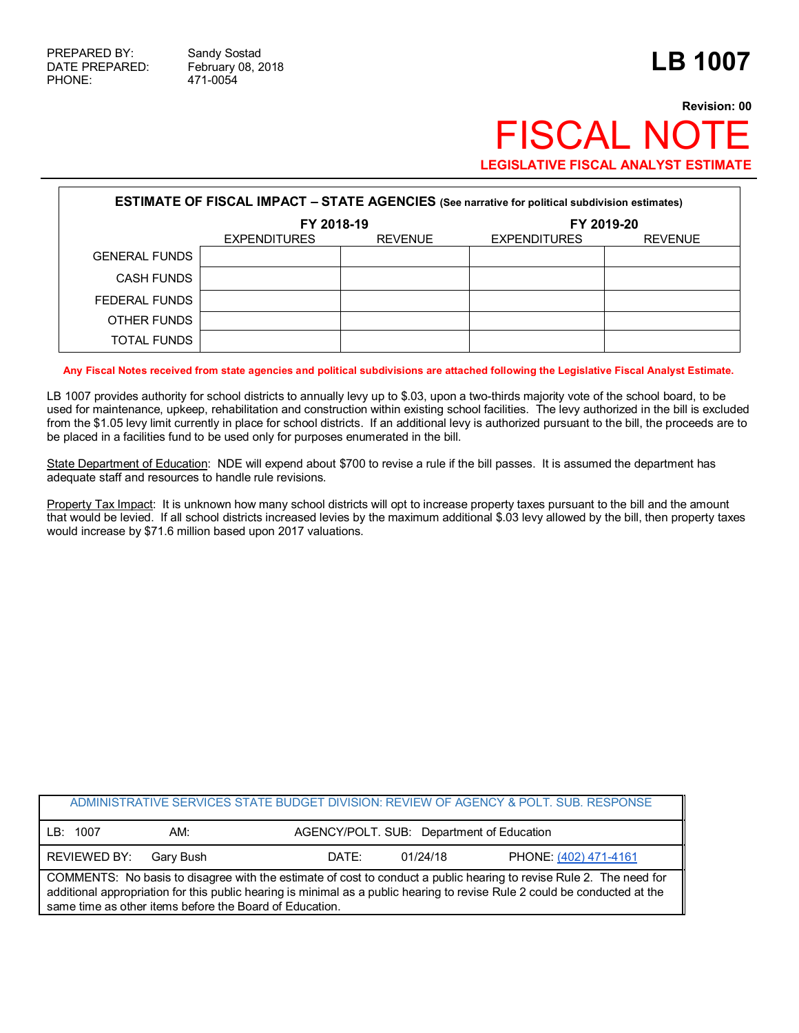PHONE: 471-0054

## **Revision: 00 FISCAL NOT LEGISLATIVE FISCAL ANALYST ESTIMATE**

| <b>ESTIMATE OF FISCAL IMPACT - STATE AGENCIES</b> (See narrative for political subdivision estimates) |                     |                |                     |                |  |
|-------------------------------------------------------------------------------------------------------|---------------------|----------------|---------------------|----------------|--|
|                                                                                                       | FY 2018-19          |                | FY 2019-20          |                |  |
|                                                                                                       | <b>EXPENDITURES</b> | <b>REVENUE</b> | <b>EXPENDITURES</b> | <b>REVENUE</b> |  |
| <b>GENERAL FUNDS</b>                                                                                  |                     |                |                     |                |  |
| <b>CASH FUNDS</b>                                                                                     |                     |                |                     |                |  |
| FEDERAL FUNDS                                                                                         |                     |                |                     |                |  |
| OTHER FUNDS                                                                                           |                     |                |                     |                |  |
| TOTAL FUNDS                                                                                           |                     |                |                     |                |  |

**Any Fiscal Notes received from state agencies and political subdivisions are attached following the Legislative Fiscal Analyst Estimate.**

LB 1007 provides authority for school districts to annually levy up to \$.03, upon a two-thirds majority vote of the school board, to be used for maintenance, upkeep, rehabilitation and construction within existing school facilities. The levy authorized in the bill is excluded from the \$1.05 levy limit currently in place for school districts. If an additional levy is authorized pursuant to the bill, the proceeds are to be placed in a facilities fund to be used only for purposes enumerated in the bill.

State Department of Education: NDE will expend about \$700 to revise a rule if the bill passes. It is assumed the department has adequate staff and resources to handle rule revisions.

Property Tax Impact: It is unknown how many school districts will opt to increase property taxes pursuant to the bill and the amount that would be levied. If all school districts increased levies by the maximum additional \$.03 levy allowed by the bill, then property taxes would increase by \$71.6 million based upon 2017 valuations.

|                                                                                                                                                                                                                                                                                                              |           |       |                                           | ADMINISTRATIVE SERVICES STATE BUDGET DIVISION: REVIEW OF AGENCY & POLT. SUB. RESPONSE |  |  |
|--------------------------------------------------------------------------------------------------------------------------------------------------------------------------------------------------------------------------------------------------------------------------------------------------------------|-----------|-------|-------------------------------------------|---------------------------------------------------------------------------------------|--|--|
| LB: 1007                                                                                                                                                                                                                                                                                                     | AM:       |       | AGENCY/POLT. SUB: Department of Education |                                                                                       |  |  |
| REVIEWED BY:                                                                                                                                                                                                                                                                                                 | Garv Bush | DATF: | 01/24/18                                  | PHONE: (402) 471-4161                                                                 |  |  |
| COMMENTS: No basis to disagree with the estimate of cost to conduct a public hearing to revise Rule 2. The need for<br>additional appropriation for this public hearing is minimal as a public hearing to revise Rule 2 could be conducted at the<br>same time as other items before the Board of Education. |           |       |                                           |                                                                                       |  |  |